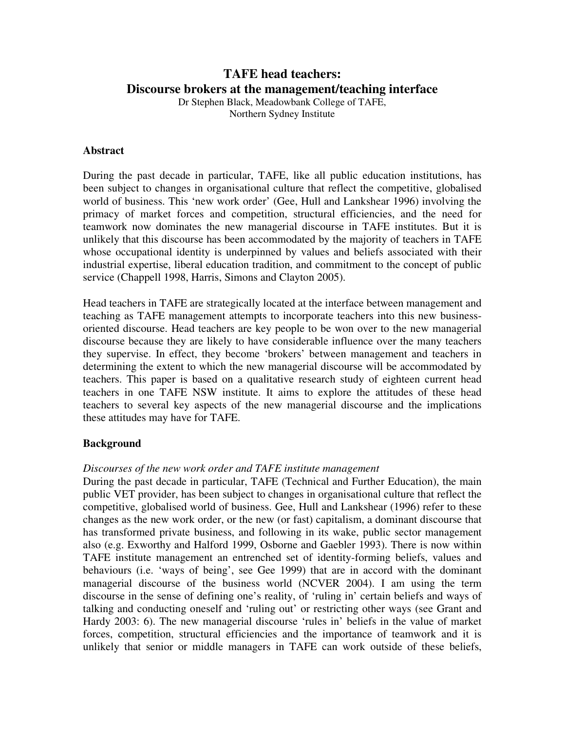# **TAFE head teachers: Discourse brokers at the management/teaching interface**

Dr Stephen Black, Meadowbank College of TAFE, Northern Sydney Institute

#### **Abstract**

During the past decade in particular, TAFE, like all public education institutions, has been subject to changes in organisational culture that reflect the competitive, globalised world of business. This 'new work order' (Gee, Hull and Lankshear 1996) involving the primacy of market forces and competition, structural efficiencies, and the need for teamwork now dominates the new managerial discourse in TAFE institutes. But it is unlikely that this discourse has been accommodated by the majority of teachers in TAFE whose occupational identity is underpinned by values and beliefs associated with their industrial expertise, liberal education tradition, and commitment to the concept of public service (Chappell 1998, Harris, Simons and Clayton 2005).

Head teachers in TAFE are strategically located at the interface between management and teaching as TAFE management attempts to incorporate teachers into this new businessoriented discourse. Head teachers are key people to be won over to the new managerial discourse because they are likely to have considerable influence over the many teachers they supervise. In effect, they become 'brokers' between management and teachers in determining the extent to which the new managerial discourse will be accommodated by teachers. This paper is based on a qualitative research study of eighteen current head teachers in one TAFE NSW institute. It aims to explore the attitudes of these head teachers to several key aspects of the new managerial discourse and the implications these attitudes may have for TAFE.

### **Background**

#### *Discourses of the new work order and TAFE institute management*

During the past decade in particular, TAFE (Technical and Further Education), the main public VET provider, has been subject to changes in organisational culture that reflect the competitive, globalised world of business. Gee, Hull and Lankshear (1996) refer to these changes as the new work order, or the new (or fast) capitalism, a dominant discourse that has transformed private business, and following in its wake, public sector management also (e.g. Exworthy and Halford 1999, Osborne and Gaebler 1993). There is now within TAFE institute management an entrenched set of identity-forming beliefs, values and behaviours (i.e. 'ways of being', see Gee 1999) that are in accord with the dominant managerial discourse of the business world (NCVER 2004). I am using the term discourse in the sense of defining one's reality, of 'ruling in' certain beliefs and ways of talking and conducting oneself and 'ruling out' or restricting other ways (see Grant and Hardy 2003: 6). The new managerial discourse 'rules in' beliefs in the value of market forces, competition, structural efficiencies and the importance of teamwork and it is unlikely that senior or middle managers in TAFE can work outside of these beliefs,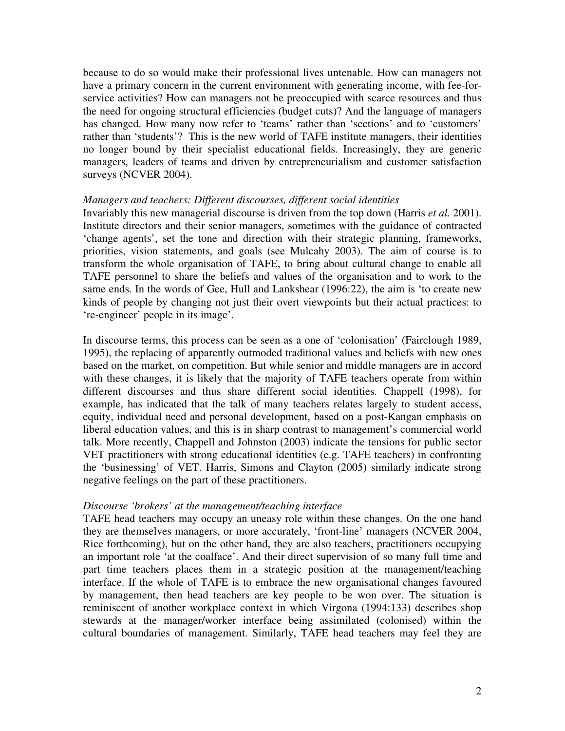because to do so would make their professional lives untenable. How can managers not have a primary concern in the current environment with generating income, with fee-forservice activities? How can managers not be preoccupied with scarce resources and thus the need for ongoing structural efficiencies (budget cuts)? And the language of managers has changed. How many now refer to 'teams' rather than 'sections' and to 'customers' rather than 'students'? This is the new world of TAFE institute managers, their identities no longer bound by their specialist educational fields. Increasingly, they are generic managers, leaders of teams and driven by entrepreneurialism and customer satisfaction surveys (NCVER 2004).

#### *Managers and teachers: Different discourses, different social identities*

Invariably this new managerial discourse is driven from the top down (Harris *et al.* 2001). Institute directors and their senior managers, sometimes with the guidance of contracted 'change agents', set the tone and direction with their strategic planning, frameworks, priorities, vision statements, and goals (see Mulcahy 2003). The aim of course is to transform the whole organisation of TAFE, to bring about cultural change to enable all TAFE personnel to share the beliefs and values of the organisation and to work to the same ends. In the words of Gee, Hull and Lankshear (1996:22), the aim is 'to create new kinds of people by changing not just their overt viewpoints but their actual practices: to 're-engineer' people in its image'.

In discourse terms, this process can be seen as a one of 'colonisation' (Fairclough 1989, 1995), the replacing of apparently outmoded traditional values and beliefs with new ones based on the market, on competition. But while senior and middle managers are in accord with these changes, it is likely that the majority of TAFE teachers operate from within different discourses and thus share different social identities. Chappell (1998), for example, has indicated that the talk of many teachers relates largely to student access, equity, individual need and personal development, based on a post-Kangan emphasis on liberal education values, and this is in sharp contrast to management's commercial world talk. More recently, Chappell and Johnston (2003) indicate the tensions for public sector VET practitioners with strong educational identities (e.g. TAFE teachers) in confronting the 'businessing' of VET. Harris, Simons and Clayton (2005) similarly indicate strong negative feelings on the part of these practitioners.

#### *Discourse 'brokers' at the management/teaching interface*

TAFE head teachers may occupy an uneasy role within these changes. On the one hand they are themselves managers, or more accurately, 'front-line' managers (NCVER 2004, Rice forthcoming), but on the other hand, they are also teachers, practitioners occupying an important role 'at the coalface'. And their direct supervision of so many full time and part time teachers places them in a strategic position at the management/teaching interface. If the whole of TAFE is to embrace the new organisational changes favoured by management, then head teachers are key people to be won over. The situation is reminiscent of another workplace context in which Virgona (1994:133) describes shop stewards at the manager/worker interface being assimilated (colonised) within the cultural boundaries of management. Similarly, TAFE head teachers may feel they are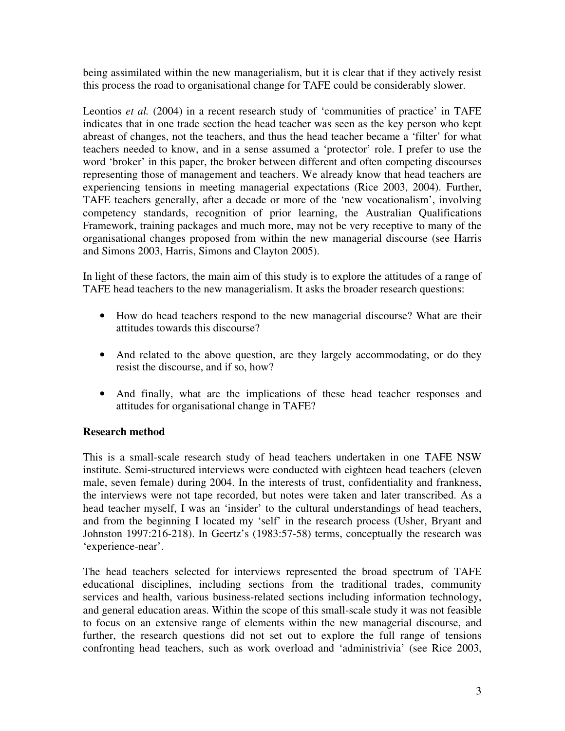being assimilated within the new managerialism, but it is clear that if they actively resist this process the road to organisational change for TAFE could be considerably slower.

Leontios *et al.* (2004) in a recent research study of 'communities of practice' in TAFE indicates that in one trade section the head teacher was seen as the key person who kept abreast of changes, not the teachers, and thus the head teacher became a 'filter' for what teachers needed to know, and in a sense assumed a 'protector' role. I prefer to use the word 'broker' in this paper, the broker between different and often competing discourses representing those of management and teachers. We already know that head teachers are experiencing tensions in meeting managerial expectations (Rice 2003, 2004). Further, TAFE teachers generally, after a decade or more of the 'new vocationalism', involving competency standards, recognition of prior learning, the Australian Qualifications Framework, training packages and much more, may not be very receptive to many of the organisational changes proposed from within the new managerial discourse (see Harris and Simons 2003, Harris, Simons and Clayton 2005).

In light of these factors, the main aim of this study is to explore the attitudes of a range of TAFE head teachers to the new managerialism. It asks the broader research questions:

- How do head teachers respond to the new managerial discourse? What are their attitudes towards this discourse?
- And related to the above question, are they largely accommodating, or do they resist the discourse, and if so, how?
- And finally, what are the implications of these head teacher responses and attitudes for organisational change in TAFE?

# **Research method**

This is a small-scale research study of head teachers undertaken in one TAFE NSW institute. Semi-structured interviews were conducted with eighteen head teachers (eleven male, seven female) during 2004. In the interests of trust, confidentiality and frankness, the interviews were not tape recorded, but notes were taken and later transcribed. As a head teacher myself, I was an 'insider' to the cultural understandings of head teachers, and from the beginning I located my 'self' in the research process (Usher, Bryant and Johnston 1997:216-218). In Geertz's (1983:57-58) terms, conceptually the research was 'experience-near'.

The head teachers selected for interviews represented the broad spectrum of TAFE educational disciplines, including sections from the traditional trades, community services and health, various business-related sections including information technology, and general education areas. Within the scope of this small-scale study it was not feasible to focus on an extensive range of elements within the new managerial discourse, and further, the research questions did not set out to explore the full range of tensions confronting head teachers, such as work overload and 'administrivia' (see Rice 2003,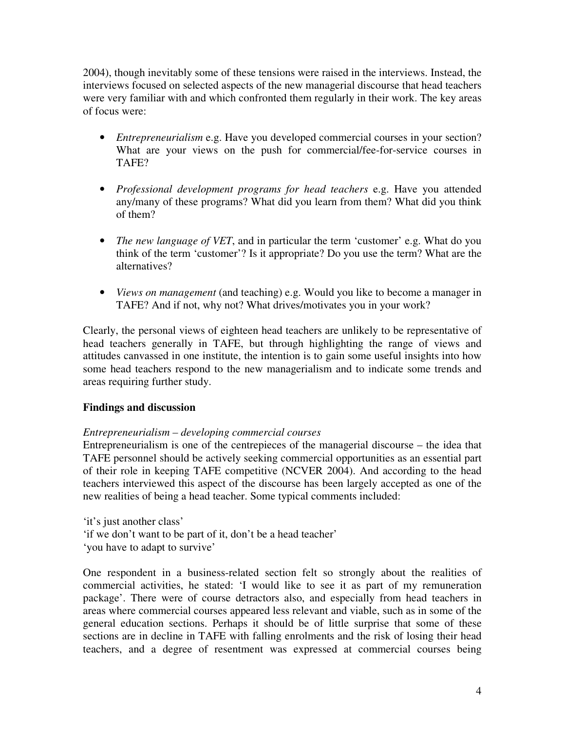2004), though inevitably some of these tensions were raised in the interviews. Instead, the interviews focused on selected aspects of the new managerial discourse that head teachers were very familiar with and which confronted them regularly in their work. The key areas of focus were:

- *Entrepreneurialism* e.g. Have you developed commercial courses in your section? What are your views on the push for commercial/fee-for-service courses in TAFE?
- *Professional development programs for head teachers* e.g. Have you attended any/many of these programs? What did you learn from them? What did you think of them?
- *The new language of VET*, and in particular the term 'customer' e.g. What do you think of the term 'customer'? Is it appropriate? Do you use the term? What are the alternatives?
- *Views on management* (and teaching) e.g. Would you like to become a manager in TAFE? And if not, why not? What drives/motivates you in your work?

Clearly, the personal views of eighteen head teachers are unlikely to be representative of head teachers generally in TAFE, but through highlighting the range of views and attitudes canvassed in one institute, the intention is to gain some useful insights into how some head teachers respond to the new managerialism and to indicate some trends and areas requiring further study.

# **Findings and discussion**

# *Entrepreneurialism – developing commercial courses*

Entrepreneurialism is one of the centrepieces of the managerial discourse – the idea that TAFE personnel should be actively seeking commercial opportunities as an essential part of their role in keeping TAFE competitive (NCVER 2004). And according to the head teachers interviewed this aspect of the discourse has been largely accepted as one of the new realities of being a head teacher. Some typical comments included:

'it's just another class' 'if we don't want to be part of it, don't be a head teacher' 'you have to adapt to survive'

One respondent in a business-related section felt so strongly about the realities of commercial activities, he stated: 'I would like to see it as part of my remuneration package'. There were of course detractors also, and especially from head teachers in areas where commercial courses appeared less relevant and viable, such as in some of the general education sections. Perhaps it should be of little surprise that some of these sections are in decline in TAFE with falling enrolments and the risk of losing their head teachers, and a degree of resentment was expressed at commercial courses being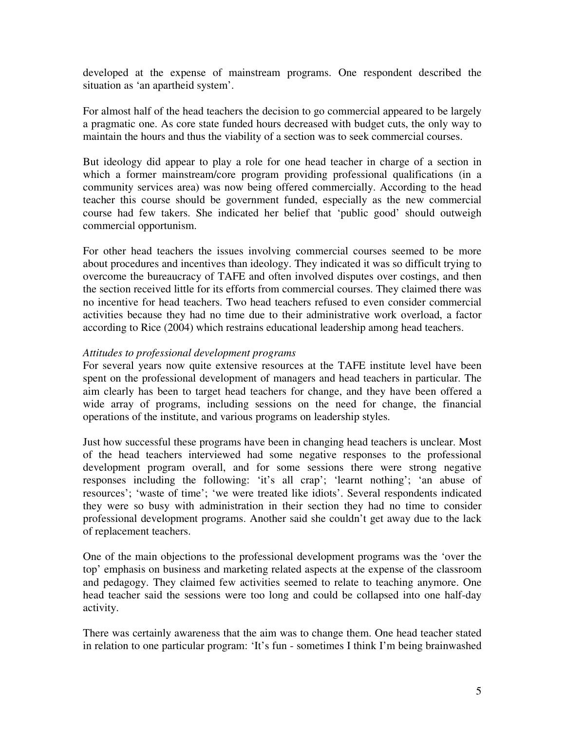developed at the expense of mainstream programs. One respondent described the situation as 'an apartheid system'.

For almost half of the head teachers the decision to go commercial appeared to be largely a pragmatic one. As core state funded hours decreased with budget cuts, the only way to maintain the hours and thus the viability of a section was to seek commercial courses.

But ideology did appear to play a role for one head teacher in charge of a section in which a former mainstream/core program providing professional qualifications (in a community services area) was now being offered commercially. According to the head teacher this course should be government funded, especially as the new commercial course had few takers. She indicated her belief that 'public good' should outweigh commercial opportunism.

For other head teachers the issues involving commercial courses seemed to be more about procedures and incentives than ideology. They indicated it was so difficult trying to overcome the bureaucracy of TAFE and often involved disputes over costings, and then the section received little for its efforts from commercial courses. They claimed there was no incentive for head teachers. Two head teachers refused to even consider commercial activities because they had no time due to their administrative work overload, a factor according to Rice (2004) which restrains educational leadership among head teachers.

### *Attitudes to professional development programs*

For several years now quite extensive resources at the TAFE institute level have been spent on the professional development of managers and head teachers in particular. The aim clearly has been to target head teachers for change, and they have been offered a wide array of programs, including sessions on the need for change, the financial operations of the institute, and various programs on leadership styles.

Just how successful these programs have been in changing head teachers is unclear. Most of the head teachers interviewed had some negative responses to the professional development program overall, and for some sessions there were strong negative responses including the following: 'it's all crap'; 'learnt nothing'; 'an abuse of resources'; 'waste of time'; 'we were treated like idiots'. Several respondents indicated they were so busy with administration in their section they had no time to consider professional development programs. Another said she couldn't get away due to the lack of replacement teachers.

One of the main objections to the professional development programs was the 'over the top' emphasis on business and marketing related aspects at the expense of the classroom and pedagogy. They claimed few activities seemed to relate to teaching anymore. One head teacher said the sessions were too long and could be collapsed into one half-day activity.

There was certainly awareness that the aim was to change them. One head teacher stated in relation to one particular program: 'It's fun - sometimes I think I'm being brainwashed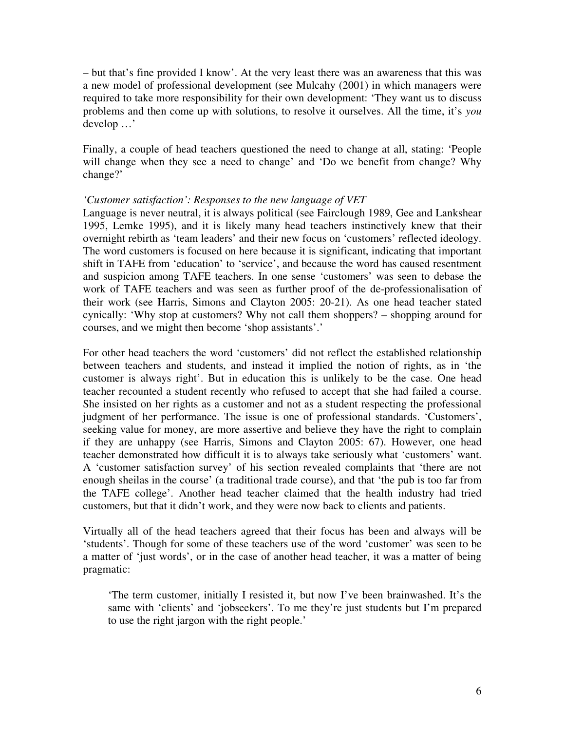– but that's fine provided I know'. At the very least there was an awareness that this was a new model of professional development (see Mulcahy (2001) in which managers were required to take more responsibility for their own development: 'They want us to discuss problems and then come up with solutions, to resolve it ourselves. All the time, it's *you* develop …'

Finally, a couple of head teachers questioned the need to change at all, stating: 'People will change when they see a need to change' and 'Do we benefit from change? Why change?'

### *'Customer satisfaction': Responses to the new language of VET*

Language is never neutral, it is always political (see Fairclough 1989, Gee and Lankshear 1995, Lemke 1995), and it is likely many head teachers instinctively knew that their overnight rebirth as 'team leaders' and their new focus on 'customers' reflected ideology. The word customers is focused on here because it is significant, indicating that important shift in TAFE from 'education' to 'service', and because the word has caused resentment and suspicion among TAFE teachers. In one sense 'customers' was seen to debase the work of TAFE teachers and was seen as further proof of the de-professionalisation of their work (see Harris, Simons and Clayton 2005: 20-21). As one head teacher stated cynically: 'Why stop at customers? Why not call them shoppers? – shopping around for courses, and we might then become 'shop assistants'.'

For other head teachers the word 'customers' did not reflect the established relationship between teachers and students, and instead it implied the notion of rights, as in 'the customer is always right'. But in education this is unlikely to be the case. One head teacher recounted a student recently who refused to accept that she had failed a course. She insisted on her rights as a customer and not as a student respecting the professional judgment of her performance. The issue is one of professional standards. 'Customers', seeking value for money, are more assertive and believe they have the right to complain if they are unhappy (see Harris, Simons and Clayton 2005: 67). However, one head teacher demonstrated how difficult it is to always take seriously what 'customers' want. A 'customer satisfaction survey' of his section revealed complaints that 'there are not enough sheilas in the course' (a traditional trade course), and that 'the pub is too far from the TAFE college'. Another head teacher claimed that the health industry had tried customers, but that it didn't work, and they were now back to clients and patients.

Virtually all of the head teachers agreed that their focus has been and always will be 'students'. Though for some of these teachers use of the word 'customer' was seen to be a matter of 'just words', or in the case of another head teacher, it was a matter of being pragmatic:

'The term customer, initially I resisted it, but now I've been brainwashed. It's the same with 'clients' and 'jobseekers'. To me they're just students but I'm prepared to use the right jargon with the right people.'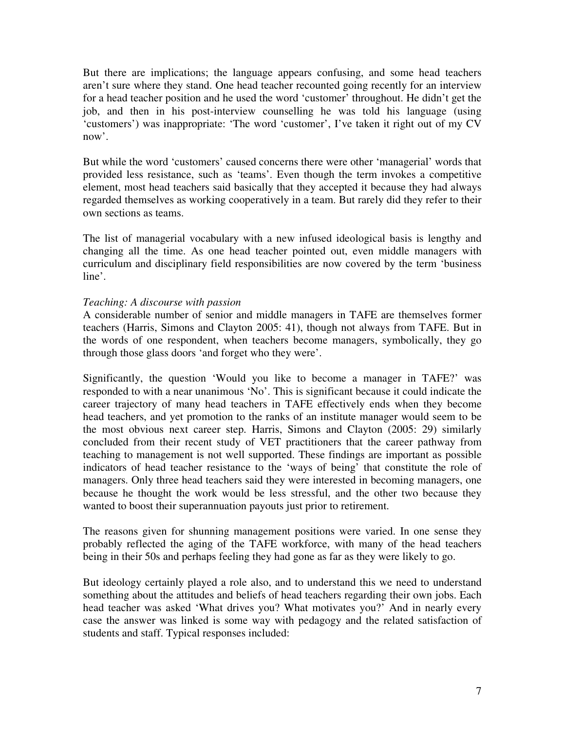But there are implications; the language appears confusing, and some head teachers aren't sure where they stand. One head teacher recounted going recently for an interview for a head teacher position and he used the word 'customer' throughout. He didn't get the job, and then in his post-interview counselling he was told his language (using 'customers') was inappropriate: 'The word 'customer', I've taken it right out of my CV now'.

But while the word 'customers' caused concerns there were other 'managerial' words that provided less resistance, such as 'teams'. Even though the term invokes a competitive element, most head teachers said basically that they accepted it because they had always regarded themselves as working cooperatively in a team. But rarely did they refer to their own sections as teams.

The list of managerial vocabulary with a new infused ideological basis is lengthy and changing all the time. As one head teacher pointed out, even middle managers with curriculum and disciplinary field responsibilities are now covered by the term 'business line'.

### *Teaching: A discourse with passion*

A considerable number of senior and middle managers in TAFE are themselves former teachers (Harris, Simons and Clayton 2005: 41), though not always from TAFE. But in the words of one respondent, when teachers become managers, symbolically, they go through those glass doors 'and forget who they were'.

Significantly, the question 'Would you like to become a manager in TAFE?' was responded to with a near unanimous 'No'. This is significant because it could indicate the career trajectory of many head teachers in TAFE effectively ends when they become head teachers, and yet promotion to the ranks of an institute manager would seem to be the most obvious next career step. Harris, Simons and Clayton (2005: 29) similarly concluded from their recent study of VET practitioners that the career pathway from teaching to management is not well supported. These findings are important as possible indicators of head teacher resistance to the 'ways of being' that constitute the role of managers. Only three head teachers said they were interested in becoming managers, one because he thought the work would be less stressful, and the other two because they wanted to boost their superannuation payouts just prior to retirement.

The reasons given for shunning management positions were varied. In one sense they probably reflected the aging of the TAFE workforce, with many of the head teachers being in their 50s and perhaps feeling they had gone as far as they were likely to go.

But ideology certainly played a role also, and to understand this we need to understand something about the attitudes and beliefs of head teachers regarding their own jobs. Each head teacher was asked 'What drives you? What motivates you?' And in nearly every case the answer was linked is some way with pedagogy and the related satisfaction of students and staff. Typical responses included: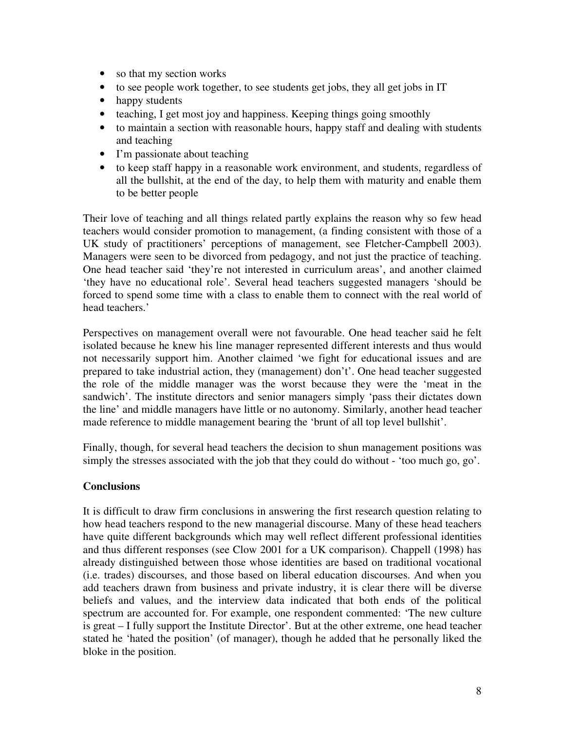- so that my section works
- to see people work together, to see students get jobs, they all get jobs in IT
- happy students
- teaching, I get most joy and happiness. Keeping things going smoothly
- to maintain a section with reasonable hours, happy staff and dealing with students and teaching
- I'm passionate about teaching
- to keep staff happy in a reasonable work environment, and students, regardless of all the bullshit, at the end of the day, to help them with maturity and enable them to be better people

Their love of teaching and all things related partly explains the reason why so few head teachers would consider promotion to management, (a finding consistent with those of a UK study of practitioners' perceptions of management, see Fletcher-Campbell 2003). Managers were seen to be divorced from pedagogy, and not just the practice of teaching. One head teacher said 'they're not interested in curriculum areas', and another claimed 'they have no educational role'. Several head teachers suggested managers 'should be forced to spend some time with a class to enable them to connect with the real world of head teachers.'

Perspectives on management overall were not favourable. One head teacher said he felt isolated because he knew his line manager represented different interests and thus would not necessarily support him. Another claimed 'we fight for educational issues and are prepared to take industrial action, they (management) don't'. One head teacher suggested the role of the middle manager was the worst because they were the 'meat in the sandwich'. The institute directors and senior managers simply 'pass their dictates down the line' and middle managers have little or no autonomy. Similarly, another head teacher made reference to middle management bearing the 'brunt of all top level bullshit'.

Finally, though, for several head teachers the decision to shun management positions was simply the stresses associated with the job that they could do without - 'too much go, go'.

# **Conclusions**

It is difficult to draw firm conclusions in answering the first research question relating to how head teachers respond to the new managerial discourse. Many of these head teachers have quite different backgrounds which may well reflect different professional identities and thus different responses (see Clow 2001 for a UK comparison). Chappell (1998) has already distinguished between those whose identities are based on traditional vocational (i.e. trades) discourses, and those based on liberal education discourses. And when you add teachers drawn from business and private industry, it is clear there will be diverse beliefs and values, and the interview data indicated that both ends of the political spectrum are accounted for. For example, one respondent commented: 'The new culture is great – I fully support the Institute Director'. But at the other extreme, one head teacher stated he 'hated the position' (of manager), though he added that he personally liked the bloke in the position.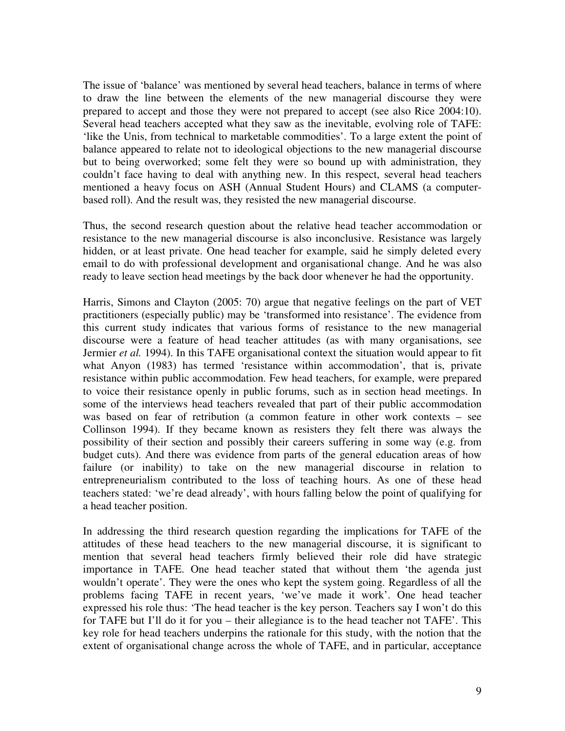The issue of 'balance' was mentioned by several head teachers, balance in terms of where to draw the line between the elements of the new managerial discourse they were prepared to accept and those they were not prepared to accept (see also Rice 2004:10). Several head teachers accepted what they saw as the inevitable, evolving role of TAFE: 'like the Unis, from technical to marketable commodities'. To a large extent the point of balance appeared to relate not to ideological objections to the new managerial discourse but to being overworked; some felt they were so bound up with administration, they couldn't face having to deal with anything new. In this respect, several head teachers mentioned a heavy focus on ASH (Annual Student Hours) and CLAMS (a computerbased roll). And the result was, they resisted the new managerial discourse.

Thus, the second research question about the relative head teacher accommodation or resistance to the new managerial discourse is also inconclusive. Resistance was largely hidden, or at least private. One head teacher for example, said he simply deleted every email to do with professional development and organisational change. And he was also ready to leave section head meetings by the back door whenever he had the opportunity.

Harris, Simons and Clayton (2005: 70) argue that negative feelings on the part of VET practitioners (especially public) may be 'transformed into resistance'. The evidence from this current study indicates that various forms of resistance to the new managerial discourse were a feature of head teacher attitudes (as with many organisations, see Jermier *et al.* 1994). In this TAFE organisational context the situation would appear to fit what Anyon (1983) has termed 'resistance within accommodation', that is, private resistance within public accommodation. Few head teachers, for example, were prepared to voice their resistance openly in public forums, such as in section head meetings. In some of the interviews head teachers revealed that part of their public accommodation was based on fear of retribution (a common feature in other work contexts – see Collinson 1994). If they became known as resisters they felt there was always the possibility of their section and possibly their careers suffering in some way (e.g. from budget cuts). And there was evidence from parts of the general education areas of how failure (or inability) to take on the new managerial discourse in relation to entrepreneurialism contributed to the loss of teaching hours. As one of these head teachers stated: 'we're dead already', with hours falling below the point of qualifying for a head teacher position.

In addressing the third research question regarding the implications for TAFE of the attitudes of these head teachers to the new managerial discourse, it is significant to mention that several head teachers firmly believed their role did have strategic importance in TAFE. One head teacher stated that without them 'the agenda just wouldn't operate'. They were the ones who kept the system going. Regardless of all the problems facing TAFE in recent years, 'we've made it work'. One head teacher expressed his role thus: 'The head teacher is the key person. Teachers say I won't do this for TAFE but I'll do it for you – their allegiance is to the head teacher not TAFE'. This key role for head teachers underpins the rationale for this study, with the notion that the extent of organisational change across the whole of TAFE, and in particular, acceptance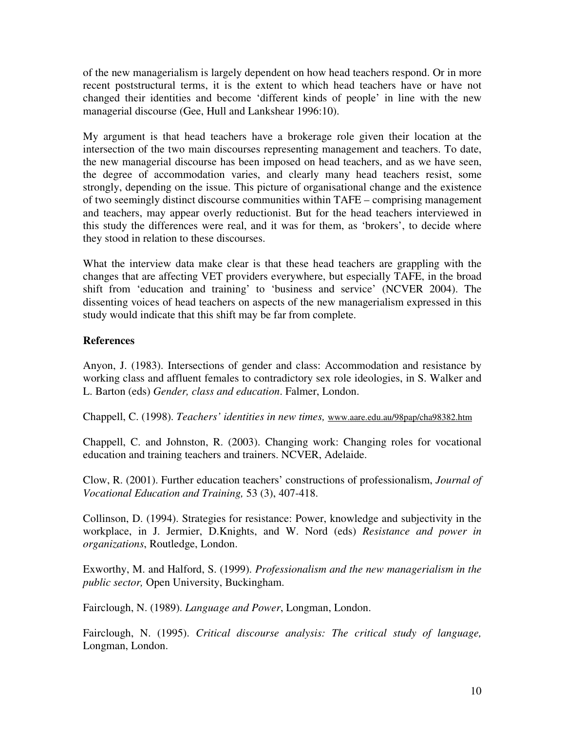of the new managerialism is largely dependent on how head teachers respond. Or in more recent poststructural terms, it is the extent to which head teachers have or have not changed their identities and become 'different kinds of people' in line with the new managerial discourse (Gee, Hull and Lankshear 1996:10).

My argument is that head teachers have a brokerage role given their location at the intersection of the two main discourses representing management and teachers. To date, the new managerial discourse has been imposed on head teachers, and as we have seen, the degree of accommodation varies, and clearly many head teachers resist, some strongly, depending on the issue. This picture of organisational change and the existence of two seemingly distinct discourse communities within TAFE – comprising management and teachers, may appear overly reductionist. But for the head teachers interviewed in this study the differences were real, and it was for them, as 'brokers', to decide where they stood in relation to these discourses.

What the interview data make clear is that these head teachers are grappling with the changes that are affecting VET providers everywhere, but especially TAFE, in the broad shift from 'education and training' to 'business and service' (NCVER 2004). The dissenting voices of head teachers on aspects of the new managerialism expressed in this study would indicate that this shift may be far from complete.

# **References**

Anyon, J. (1983). Intersections of gender and class: Accommodation and resistance by working class and affluent females to contradictory sex role ideologies, in S. Walker and L. Barton (eds) *Gender, class and education*. Falmer, London.

Chappell, C. (1998). *Teachers' identities in new times,* www.aare.edu.au/98pap/cha98382.htm

Chappell, C. and Johnston, R. (2003). Changing work: Changing roles for vocational education and training teachers and trainers. NCVER, Adelaide.

Clow, R. (2001). Further education teachers' constructions of professionalism, *Journal of Vocational Education and Training,* 53 (3), 407-418.

Collinson, D. (1994). Strategies for resistance: Power, knowledge and subjectivity in the workplace, in J. Jermier, D.Knights, and W. Nord (eds) *Resistance and power in organizations*, Routledge, London.

Exworthy, M. and Halford, S. (1999). *Professionalism and the new managerialism in the public sector,* Open University, Buckingham.

Fairclough, N. (1989). *Language and Power*, Longman, London.

Fairclough, N. (1995). *Critical discourse analysis: The critical study of language,* Longman, London.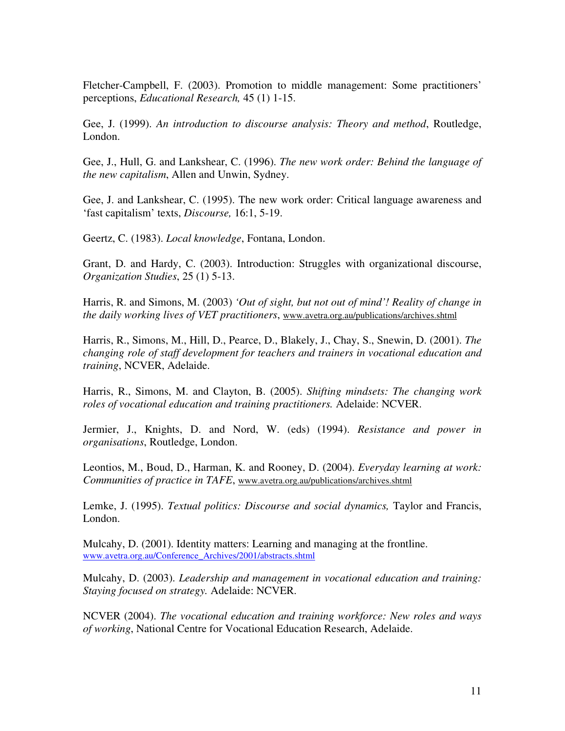Fletcher-Campbell, F. (2003). Promotion to middle management: Some practitioners' perceptions, *Educational Research,* 45 (1) 1-15.

Gee, J. (1999). *An introduction to discourse analysis: Theory and method*, Routledge, London.

Gee, J., Hull, G. and Lankshear, C. (1996). *The new work order: Behind the language of the new capitalism*, Allen and Unwin, Sydney.

Gee, J. and Lankshear, C. (1995). The new work order: Critical language awareness and 'fast capitalism' texts, *Discourse,* 16:1, 5-19.

Geertz, C. (1983). *Local knowledge*, Fontana, London.

Grant, D. and Hardy, C. (2003). Introduction: Struggles with organizational discourse, *Organization Studies*, 25 (1) 5-13.

Harris, R. and Simons, M. (2003) *'Out of sight, but not out of mind'! Reality of change in the daily working lives of VET practitioners*, www.avetra.org.au/publications/archives.shtml

Harris, R., Simons, M., Hill, D., Pearce, D., Blakely, J., Chay, S., Snewin, D. (2001). *The changing role of staff development for teachers and trainers in vocational education and training*, NCVER, Adelaide.

Harris, R., Simons, M. and Clayton, B. (2005). *Shifting mindsets: The changing work roles of vocational education and training practitioners.* Adelaide: NCVER.

Jermier, J., Knights, D. and Nord, W. (eds) (1994). *Resistance and power in organisations*, Routledge, London.

Leontios, M., Boud, D., Harman, K. and Rooney, D. (2004). *Everyday learning at work: Communities of practice in TAFE*, www.avetra.org.au/publications/archives.shtml

Lemke, J. (1995). *Textual politics: Discourse and social dynamics,* Taylor and Francis, London.

Mulcahy, D. (2001). Identity matters: Learning and managing at the frontline. www.avetra.org.au/Conference\_Archives/2001/abstracts.shtml

Mulcahy, D. (2003). *Leadership and management in vocational education and training: Staying focused on strategy.* Adelaide: NCVER.

NCVER (2004). *The vocational education and training workforce: New roles and ways of working*, National Centre for Vocational Education Research, Adelaide.